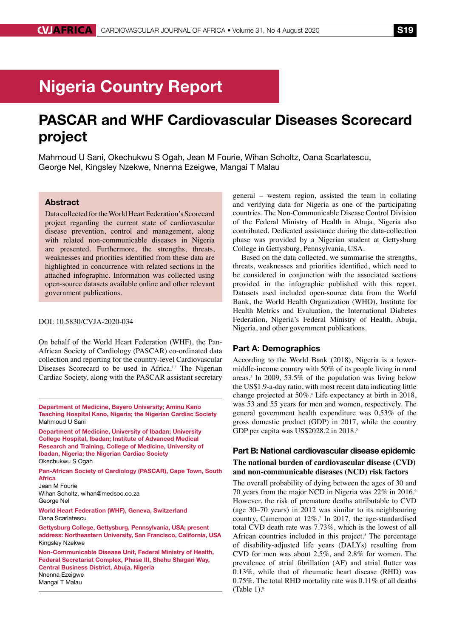# Nigeria Country Report

## PASCAR and WHF Cardiovascular Diseases Scorecard project

Mahmoud U Sani, Okechukwu S Ogah, Jean M Fourie, Wihan Scholtz, Oana Scarlatescu, George Nel, Kingsley Nzekwe, Nnenna Ezeigwe, Mangai T Malau

## Abstract

Data collected for the World Heart Federation's Scorecard project regarding the current state of cardiovascular disease prevention, control and management, along with related non-communicable diseases in Nigeria are presented. Furthermore, the strengths, threats, weaknesses and priorities identified from these data are highlighted in concurrence with related sections in the attached infographic. Information was collected using open-source datasets available online and other relevant government publications.

#### DOI: 10.5830/CVJA-2020-034

On behalf of the World Heart Federation (WHF), the Pan-African Society of Cardiology (PASCAR) co-ordinated data collection and reporting for the country-level Cardiovascular Diseases Scorecard to be used in Africa.<sup>1,2</sup> The Nigerian Cardiac Society, along with the PASCAR assistant secretary

Department of Medicine, Bayero University; Aminu Kano Teaching Hospital Kano, Nigeria; the Nigerian Cardiac Society Mahmoud U Sani

Department of Medicine, University of Ibadan; University College Hospital, Ibadan; Institute of Advanced Medical Research and Training, College of Medicine, University of Ibadan, Nigeria; the Nigerian Cardiac Society Okechukwu S Ogah

Pan-African Society of Cardiology (PASCAR), Cape Town, South Africa

Jean M Fourie Wihan Scholtz, wihan@medsoc.co.za George Nel

World Heart Federation (WHF), Geneva, Switzerland Oana Scarlatescu

Gettysburg College, Gettysburg, Pennsylvania, USA; present address: Northeastern University, San Francisco, California, USA Kingsley Nzekwe

Non-Communicable Disease Unit, Federal Ministry of Health, Federal Secretariat Complex, Phase III, Shehu Shagari Way, Central Business District, Abuja, Nigeria Nnenna Ezeigwe

Mangai T Malau

general – western region, assisted the team in collating and verifying data for Nigeria as one of the participating countries. The Non-Communicable Disease Control Division of the Federal Ministry of Health in Abuja, Nigeria also contributed. Dedicated assistance during the data-collection phase was provided by a Nigerian student at Gettysburg College in Gettysburg, Pennsylvania, USA.

Based on the data collected, we summarise the strengths, threats, weaknesses and priorities identified, which need to be considered in conjunction with the associated sections provided in the infographic published with this report. Datasets used included open-source data from the World Bank, the World Health Organization (WHO), Institute for Health Metrics and Evaluation, the International Diabetes Federation, Nigeria's Federal Ministry of Health, Abuja, Nigeria, and other government publications.

## Part A: Demographics

According to the World Bank (2018), Nigeria is a lowermiddle-income country with 50% of its people living in rural areas.3 In 2009, 53.5% of the population was living below the US\$1.9-a-day ratio, with most recent data indicating little change projected at 50%.4 Life expectancy at birth in 2018, was 53 and 55 years for men and women, respectively. The general government health expenditure was 0.53% of the gross domestic product (GDP) in 2017, while the country GDP per capita was US\$2028.2 in 2018.<sup>5</sup>

## Part B: National cardiovascular disease epidemic **The national burden of cardiovascular disease (CVD) and non-communicable diseases (NCD) risk factors**

The overall probability of dying between the ages of 30 and 70 years from the major NCD in Nigeria was 22% in 2016.<sup>6</sup> However, the risk of premature deaths attributable to CVD (age 30–70 years) in 2012 was similar to its neighbouring country, Cameroon at 12%.7 In 2017, the age-standardised total CVD death rate was 7.73%, which is the lowest of all African countries included in this project.<sup>8</sup> The percentage of disability-adjusted life years (DALYs) resulting from CVD for men was about 2.5%, and 2.8% for women. The prevalence of atrial fibrillation (AF) and atrial flutter was 0.13%, while that of rheumatic heart disease (RHD) was 0.75%. The total RHD mortality rate was 0.11% of all deaths (Table 1). $\frac{8}{3}$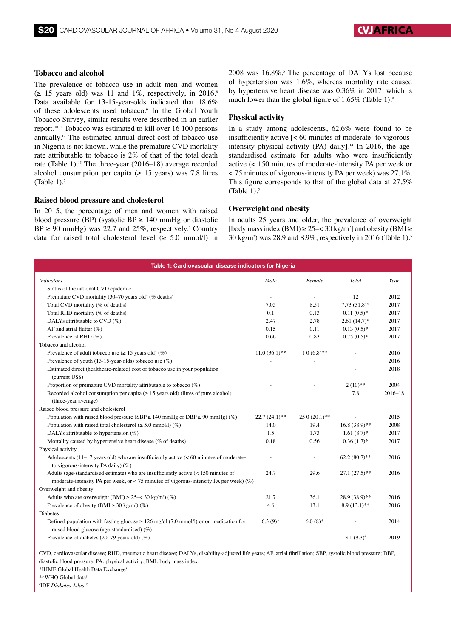## **Tobacco and alcohol**

The prevalence of tobacco use in adult men and women  $(\geq 15$  years old) was 11 and 1%, respectively, in 2016.<sup>6</sup> Data available for 13-15-year-olds indicated that 18.6% of these adolescents used tobacco.<sup>9</sup> In the Global Youth Tobacco Survey, similar results were described in an earlier report.10,11 Tobacco was estimated to kill over 16 100 persons annually.12 The estimated annual direct cost of tobacco use in Nigeria is not known, while the premature CVD mortality rate attributable to tobacco is 2% of that of the total death rate (Table 1).13 The three-year (2016–18) average recorded alcohol consumption per capita ( $\geq$  15 years) was 7.8 litres (Table 1). $5$ 

### **Raised blood pressure and cholesterol**

In 2015, the percentage of men and women with raised blood pressure (BP) (systolic BP  $\geq$  140 mmHg or diastolic  $BP \ge 90$  mmHg) was 22.7 and 25%, respectively.<sup>5</sup> Country data for raised total cholesterol level  $(\geq 5.0 \text{ mmol/l})$  in

 $2008$  was  $16.8\%$ .<sup>5</sup> The percentage of DALYs lost because of hypertension was 1.6%, whereas mortality rate caused by hypertensive heart disease was 0.36% in 2017, which is much lower than the global figure of  $1.65\%$  (Table 1).<sup>8</sup>

#### **Physical activity**

In a study among adolescents, 62.6% were found to be insufficiently active [< 60 minutes of moderate- to vigorousintensity physical activity (PA) daily].<sup>14</sup> In 2016, the agestandardised estimate for adults who were insufficiently active (< 150 minutes of moderate-intensity PA per week or < 75 minutes of vigorous-intensity PA per week) was 27.1%. This figure corresponds to that of the global data at 27.5% (Table  $1$ ).<sup>5</sup>

#### **Overweight and obesity**

In adults 25 years and older, the prevalence of overweight [body mass index (BMI)  $\geq$  25–< 30 kg/m<sup>2</sup>] and obesity (BMI  $\geq$ 30 kg/m2 ) was 28.9 and 8.9%, respectively in 2016 (Table 1).5

| Table 1: Cardiovascular disease indicators for Nigeria                                                                                                        |                 |                 |                 |             |
|---------------------------------------------------------------------------------------------------------------------------------------------------------------|-----------------|-----------------|-----------------|-------------|
| <b>Indicators</b>                                                                                                                                             | Male            | Female          | Total           | Year        |
| Status of the national CVD epidemic                                                                                                                           |                 |                 |                 |             |
| Premature CVD mortality (30-70 years old) (% deaths)                                                                                                          |                 | ÷               | 12              | 2012        |
| Total CVD mortality (% of deaths)                                                                                                                             | 7.05            | 8.51            | $7.73(31.8)$ *  | 2017        |
| Total RHD mortality (% of deaths)                                                                                                                             | 0.1             | 0.13            | $0.11(0.5)$ *   | 2017        |
| DALYs attributable to CVD (%)                                                                                                                                 | 2.47            | 2.78            | $2.61(14.7)$ *  | 2017        |
| AF and atrial flutter $(\%)$                                                                                                                                  | 0.15            | 0.11            | $0.13(0.5)*$    | 2017        |
| Prevalence of RHD (%)                                                                                                                                         | 0.66            | 0.83            | $0.75(0.5)*$    | 2017        |
| Tobacco and alcohol                                                                                                                                           |                 |                 |                 |             |
| Prevalence of adult tobacco use ( $\geq$ 15 years old) (%)                                                                                                    | $11.0(36.1)$ ** | $1.0(6.8)$ **   |                 | 2016        |
| Prevalence of youth (13-15-year-olds) tobacco use $(\%)$                                                                                                      |                 |                 |                 | 2016        |
| Estimated direct (healthcare-related) cost of tobacco use in your population<br>(current US\$)                                                                |                 |                 |                 | 2018        |
| Proportion of premature CVD mortality attributable to tobacco (%)                                                                                             |                 |                 | $2(10)**$       | 2004        |
| Recorded alcohol consumption per capita ( $\geq$ 15 years old) (litres of pure alcohol)<br>(three-year average)                                               |                 |                 | 7.8             | $2016 - 18$ |
| Raised blood pressure and cholesterol                                                                                                                         |                 |                 |                 |             |
| Population with raised blood pressure (SBP $\geq$ 140 mmHg or DBP $\geq$ 90 mmHg) (%)                                                                         | $22.7(24.1)$ ** | $25.0(20.1)$ ** |                 | 2015        |
| Population with raised total cholesterol ( $\geq$ 5.0 mmol/l) (%)                                                                                             | 14.0            | 19.4            | $16.8(38.9)**$  | 2008        |
| DALYs attributable to hypertension $(\%)$                                                                                                                     | 1.5             | 1.73            | $1.61(8.7)$ *   | 2017        |
| Mortality caused by hypertensive heart disease (% of deaths)                                                                                                  | 0.18            | 0.56            | $0.36(1.7)$ *   | 2017        |
| Physical activity                                                                                                                                             |                 |                 |                 |             |
| Adolescents $(11-17 \text{ years old})$ who are insufficiently active $(< 60 \text{ minutes of moderate}$<br>to vigorous-intensity PA daily) $(\%)$           |                 |                 | $62.2(80.7)$ ** | 2016        |
| Adults (age-standardised estimate) who are insufficiently active $(< 150$ minutes of                                                                          | 24.7            | 29.6            | $27.1(27.5)$ ** | 2016        |
| moderate-intensity PA per week, or < 75 minutes of vigorous-intensity PA per week) $(\%)$                                                                     |                 |                 |                 |             |
| Overweight and obesity                                                                                                                                        |                 |                 |                 |             |
| Adults who are overweight (BMI) $\geq$ 25-< 30 kg/m <sup>2</sup> ) (%)                                                                                        | 21.7            | 36.1            | 28.9 (38.9)**   | 2016        |
| Prevalence of obesity (BMI $\geq$ 30 kg/m <sup>2</sup> ) (%)                                                                                                  | 4.6             | 13.1            | $8.9(13.1)$ **  | 2016        |
| <b>Diabetes</b>                                                                                                                                               |                 |                 |                 |             |
| Defined population with fasting glucose $\geq 126$ mg/dl (7.0 mmol/l) or on medication for<br>raised blood glucose (age-standardised) (%)                     | $6.3(9)*$       | $6.0(8)$ *      |                 | 2014        |
| Prevalence of diabetes (20–79 years old) $(\%)$                                                                                                               |                 |                 | $3.1(9.3)^{*}$  | 2019        |
| CVD, cardiovascular disease; RHD, rheumatic heart disease; DALYs, disability-adjusted life years; AF, atrial fibrillation; SBP, systolic blood pressure; DBP, |                 |                 |                 |             |

diastolic blood pressure; PA, physical activity; BMI, body mass index.

\*IHME Global Health Data Exchange8

\*\*WHO Global data

# IDF *Diabetes Atlas*. 15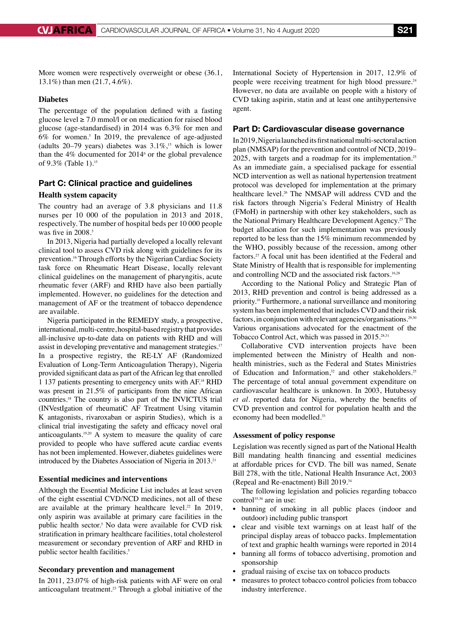More women were respectively overweight or obese (36.1, 13.1%) than men (21.7, 4.6%).

## **Diabetes**

The percentage of the population defined with a fasting glucose level  $\geq 7.0$  mmol/l or on medication for raised blood glucose (age-standardised) in 2014 was 6.3% for men and  $6\%$  for women.<sup>5</sup> In 2019, the prevalence of age-adjusted (adults  $20-79$  years) diabetes was  $3.1\%$ ,<sup>15</sup> which is lower than the  $4\%$  documented for  $2014<sup>6</sup>$  or the global prevalence of 9.3% (Table 1).15

## Part C: Clinical practice and guidelines

## **Health system capacity**

The country had an average of 3.8 physicians and 11.8 nurses per 10 000 of the population in 2013 and 2018, respectively. The number of hospital beds per 10 000 people was five in 2008.<sup>5</sup>

In 2013, Nigeria had partially developed a locally relevant clinical tool to assess CVD risk along with guidelines for its prevention.<sup>16</sup> Through efforts by the Nigerian Cardiac Society task force on Rheumatic Heart Disease, locally relevant clinical guidelines on the management of pharyngitis, acute rheumatic fever (ARF) and RHD have also been partially implemented. However, no guidelines for the detection and management of AF or the treatment of tobacco dependence are available.

Nigeria participated in the REMEDY study, a prospective, international, multi-centre, hospital-based registry that provides all-inclusive up-to-date data on patients with RHD and will assist in developing preventative and management strategies.<sup>17</sup> In a prospective registry, the RE-LY AF (Randomized Evaluation of Long-Term Anticoagulation Therapy), Nigeria provided significant data as part of the African leg that enrolled 1 137 patients presenting to emergency units with AF.18 RHD was present in 21.5% of participants from the nine African countries.18 The country is also part of the INVICTUS trial (INVestIgation of rheumatiC AF Treatment Using vitamin K antagonists, rivaroxaban or aspirin Studies), which is a clinical trial investigating the safety and efficacy novel oral anticoagulants.19,20 A system to measure the quality of care provided to people who have suffered acute cardiac events has not been implemented. However, diabetes guidelines were introduced by the Diabetes Association of Nigeria in 2013.<sup>21</sup>

## **Essential medicines and interventions**

Although the Essential Medicine List includes at least seven of the eight essential CVD/NCD medicines, not all of these are available at the primary healthcare level.<sup>22</sup> In 2019, only aspirin was available at primary care facilities in the public health sector.5 No data were available for CVD risk stratification in primary healthcare facilities, total cholesterol measurement or secondary prevention of ARF and RHD in public sector health facilities.<sup>5</sup>

#### **Secondary prevention and management**

In 2011, 23.07% of high-risk patients with AF were on oral anticoagulant treatment.23 Through a global initiative of the International Society of Hypertension in 2017, 12.9% of people were receiving treatment for high blood pressure.<sup>24</sup> However, no data are available on people with a history of CVD taking aspirin, statin and at least one antihypertensive agent.

## Part D: Cardiovascular disease governance

In 2019, Nigeria launched its first national multi-sectoral action plan (NMSAP) for the prevention and control of NCD, 2019– 2025, with targets and a roadmap for its implementation.25 As an immediate gain, a specialised package for essential NCD intervention as well as national hypertension treatment protocol was developed for implementation at the primary healthcare level.<sup>26</sup> The NMSAP will address CVD and the risk factors through Nigeria's Federal Ministry of Health (FMoH) in partnership with other key stakeholders, such as the National Primary Healthcare Development Agency.25 The budget allocation for such implementation was previously reported to be less than the 15% minimum recommended by the WHO, possibly because of the recession, among other factors.27 A focal unit has been identified at the Federal and State Ministry of Health that is responsible for implementing and controlling NCD and the associated risk factors.<sup>16,28</sup>

According to the National Policy and Strategic Plan of 2013, RHD prevention and control is being addressed as a priority.16 Furthermore, a national surveillance and monitoring system has been implemented that includes CVD and their risk factors, in conjunction with relevant agencies/organisations.<sup>29,30</sup> Various organisations advocated for the enactment of the Tobacco Control Act, which was passed in 2015.28,31

Collaborative CVD intervention projects have been implemented between the Ministry of Health and nonhealth ministries, such as the Federal and States Ministries of Education and Information,<sup>32</sup> and other stakeholders.<sup>25</sup> The percentage of total annual government expenditure on cardiovascular healthcare is unknown. In 2003, Hutubessy *et al.* reported data for Nigeria, whereby the benefits of CVD prevention and control for population health and the economy had been modelled.<sup>33</sup>

## **Assessment of policy response**

Legislation was recently signed as part of the National Health Bill mandating health financing and essential medicines at affordable prices for CVD. The bill was named, Senate Bill 278, with the title, National Health Insurance Act, 2003 (Repeal and Re-enactment) Bill 2019.34

The following legislation and policies regarding tobacco control<sup>35,36</sup> are in use:

- banning of smoking in all public places (indoor and outdoor) including public transport
- clear and visible text warnings on at least half of the principal display areas of tobacco packs. Implementation of text and graphic health warnings were reported in 2014
- banning all forms of tobacco advertising, promotion and sponsorship
- gradual raising of excise tax on tobacco products
- measures to protect tobacco control policies from tobacco industry interference.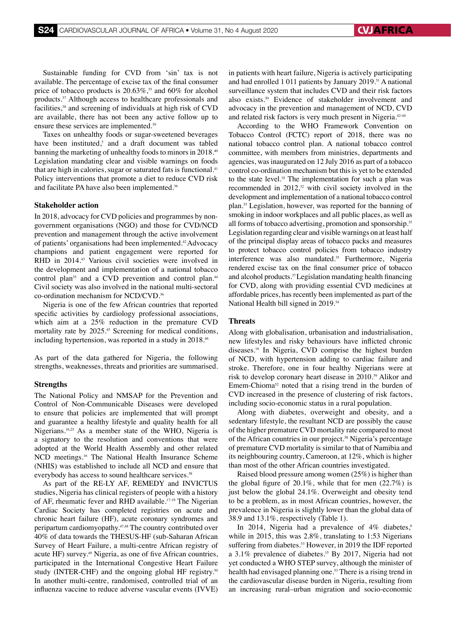Sustainable funding for CVD from 'sin' tax is not available. The percentage of excise tax of the final consumer price of tobacco products is  $20.63\%$ ,<sup>35</sup> and 60% for alcohol products.37 Although access to healthcare professionals and facilities,<sup>38</sup> and screening of individuals at high risk of CVD are available, there has not been any active follow up to ensure these services are implemented.<sup>39</sup>

Taxes on unhealthy foods or sugar-sweetened beverages have been instituted,<sup>5</sup> and a draft document was tabled banning the marketing of unhealthy foods to minors in 2018.<sup>40</sup> Legislation mandating clear and visible warnings on foods that are high in calories, sugar or saturated fats is functional.<sup>41</sup> Policy interventions that promote a diet to reduce CVD risk and facilitate PA have also been implemented.<sup>36</sup>

## **Stakeholder action**

In 2018, advocacy for CVD policies and programmes by nongovernment organisations (NGO) and those for CVD/NCD prevention and management through the active involvement of patients' organisations had been implemented.42 Advocacy champions and patient engagement were reported for RHD in 2014.<sup>43</sup> Various civil societies were involved in the development and implementation of a national tobacco control plan<sup>35</sup> and a CVD prevention and control plan.<sup>44</sup> Civil society was also involved in the national multi-sectoral co-ordination mechanism for NCD/CVD.36

Nigeria is one of the few African countries that reported specific activities by cardiology professional associations, which aim at a 25% reduction in the premature CVD mortality rate by 2025.45 Screening for medical conditions, including hypertension, was reported in a study in 2018.<sup>46</sup>

As part of the data gathered for Nigeria, the following strengths, weaknesses, threats and priorities are summarised.

## **Strengths**

The National Policy and NMSAP for the Prevention and Control of Non-Communicable Diseases were developed to ensure that policies are implemented that will prompt and guarantee a healthy lifestyle and quality health for all Nigerians.16,25 As a member state of the WHO, Nigeria is a signatory to the resolution and conventions that were adopted at the World Health Assembly and other related NCD meetings.16 The National Health Insurance Scheme (NHIS) was established to include all NCD and ensure that everybody has access to sound healthcare services.<sup>38</sup>

As part of the RE-LY AF, REMEDY and INVICTUS studies, Nigeria has clinical registers of people with a history of AF, rheumatic fever and RHD available.17-19 The Nigerian Cardiac Society has completed registries on acute and chronic heart failure (HF), acute coronary syndromes and peripartum cardiomyopathy.47,48 The country contributed over 40% of data towards the THESUS-HF (sub-Saharan African Survey of Heart Failure, a multi-centre African registry of acute HF) survey.49 Nigeria, as one of five African countries, participated in the International Congestive Heart Failure study (INTER-CHF) and the ongoing global HF registry.<sup>50</sup> In another multi-centre, randomised, controlled trial of an influenza vaccine to reduce adverse vascular events (IVVE)

in patients with heart failure, Nigeria is actively participating and had enrolled 1 011 patients by January 2019.<sup>51</sup> A national surveillance system that includes CVD and their risk factors also exists.30 Evidence of stakeholder involvement and advocacy in the prevention and management of NCD, CVD and related risk factors is very much present in Nigeria.<sup>42-44</sup>

According to the WHO Framework Convention on Tobacco Control (FCTC) report of 2018, there was no national tobacco control plan. A national tobacco control committee, with members from ministries, departments and agencies, was inaugurated on 12 July 2016 as part of a tobacco control co-ordination mechanism but this is yet to be extended to the state level.<sup>35</sup> The implementation for such a plan was recommended in  $2012<sup>32</sup>$  with civil society involved in the development and implementation of a national tobacco control plan.35 Legislation, however, was reported for the banning of smoking in indoor workplaces and all public places, as well as all forms of tobacco advertising, promotion and sponsorship.35 Legislation regarding clear and visible warnings on at least half of the principal display areas of tobacco packs and measures to protect tobacco control policies from tobacco industry interference was also mandated.<sup>35</sup> Furthermore, Nigeria rendered excise tax on the final consumer price of tobacco and alcohol products.<sup>37</sup> Legislation mandating health financing for CVD, along with providing essential CVD medicines at affordable prices, has recently been implemented as part of the National Health bill signed in 2019.<sup>34</sup>

## **Threats**

Along with globalisation, urbanisation and industrialisation, new lifestyles and risky behaviours have inflicted chronic diseases.16 In Nigeria, CVD comprise the highest burden of NCD, with hypertension adding to cardiac failure and stroke. Therefore, one in four healthy Nigerians were at risk to develop coronary heart disease in 2010.39 Alikor and Emem-Chioma<sup>52</sup> noted that a rising trend in the burden of CVD increased in the presence of clustering of risk factors, including socio-economic status in a rural population.

Along with diabetes, overweight and obesity, and a sedentary lifestyle, the resultant NCD are possibly the cause of the higher premature CVD mortality rate compared to most of the African countries in our project.38 Nigeria's percentage of premature CVD mortality is similar to that of Namibia and its neighbouring country, Cameroon, at 12%, which is higher than most of the other African countries investigated.

Raised blood pressure among women (25%) is higher than the global figure of 20.1%, while that for men  $(22.7\%)$  is just below the global 24.1%. Overweight and obesity tend to be a problem, as in most African countries, however, the prevalence in Nigeria is slightly lower than the global data of 38.9 and 13.1%, respectively (Table 1).

In 2014, Nigeria had a prevalence of  $4\%$  diabetes,<sup>6</sup> while in 2015, this was 2.8%, translating to 1:53 Nigerians suffering from diabetes.<sup>53</sup> However, in 2019 the IDF reported a 3.1% prevalence of diabetes.15 By 2017, Nigeria had not yet conducted a WHO STEP survey, although the minister of health had envisaged planning one.<sup>53</sup> There is a rising trend in the cardiovascular disease burden in Nigeria, resulting from an increasing rural–urban migration and socio-economic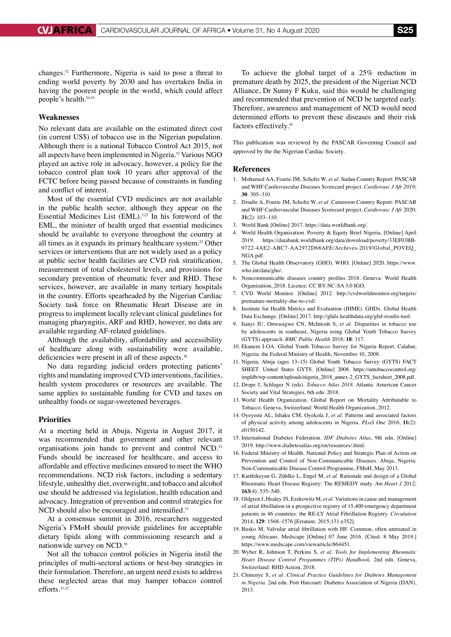changes.52 Furthermore, Nigeria is said to pose a threat to ending world poverty by 2030 and has overtaken India in having the poorest people in the world, which could affect people's health.<sup>54,55</sup>

#### **Weaknesses**

No relevant data are available on the estimated direct cost (in current US\$) of tobacco use in the Nigerian population. Although there is a national Tobacco Control Act 2015, not all aspects have been implemented in Nigeria.32 Various NGO played an active role in advocacy, however, a policy for the tobacco control plan took 10 years after approval of the FCTC before being passed because of constraints in funding and conflict of interest.

Most of the essential CVD medicines are not available in the public health sector, although they appear on the Essential Medicines List (EML).<sup>5,22</sup> In his foreword of the EML, the minister of health urged that essential medicines should be available to everyone throughout the country at all times as it expands its primary healthcare system.<sup>22</sup> Other services or interventions that are not widely used as a policy at public sector health facilities are CVD risk stratification, measurement of total cholesterol levels, and provisions for secondary prevention of rheumatic fever and RHD. These services, however, are available in many tertiary hospitals in the country. Efforts spearheaded by the Nigerian Cardiac Society task force on Rheumatic Heart Disease are in progress to implement locally relevant clinical guidelines for managing pharyngitis, ARF and RHD, however, no data are available regarding AF-related guidelines.

Although the availability, affordability and accessibility of healthcare along with sustainability were available, deficiencies were present in all of these aspects.<sup>38</sup>

No data regarding judicial orders protecting patients' rights and mandating improved CVD interventions, facilities, health system procedures or resources are available. The same applies to sustainable funding for CVD and taxes on unhealthy foods or sugar-sweetened beverages.

#### **Priorities**

At a meeting held in Abuja, Nigeria in August 2017, it was recommended that government and other relevant organisations join hands to prevent and control NCD.<sup>53</sup> Funds should be increased for healthcare, and access to affordable and effective medicines ensured to meet the WHO recommendations. NCD risk factors, including a sedentary lifestyle, unhealthy diet, overweight, and tobacco and alcohol use should be addressed via legislation, health education and advocacy. Integration of prevention and control strategies for NCD should also be encouraged and intensified.<sup>53</sup>

At a consensus summit in 2016, researchers suggested Nigeria's FMoH should provide guidelines for acceptable dietary lipids along with commissioning research and a nationwide survey on NCD.30

Not all the tobacco control policies in Nigeria instil the principles of multi-sectoral actions or best-buy strategies in their formulation. Therefore, an urgent need exists to address these neglected areas that may hamper tobacco control efforts.31,32

To achieve the global target of a 25% reduction in premature death by 2025, the president of the Nigerian NCD Alliance, Dr Sunny F Kuku, said this would be challenging and recommended that prevention of NCD be targeted early. Therefore, awareness and management of NCD would need determined efforts to prevent these diseases and their risk factors effectively.<sup>45</sup>

This publication was reviewed by the PASCAR Governing Council and approved by the the Nigerian Cardiac Society.

#### **References**

- 1. Mohamed AA, Fourie JM, Scholtz W, *et al.* Sudan Country Report: PASCAR and WHF Cardiovascular Diseases Scorecard project. *Cardiovasc J Afr 2019*; **30**: 305–310.
- 2. Dzudie A, Fourie JM, Scholtz W, *et al.* Cameroon Country Report: PASCAR and WHF Cardiovascular Diseases Scorecard project. *Cardiovasc J Afr* 2020; **31**(2): 103–110.
- 3. World Bank [Online] 2017. https://data.worldbank.org/.
- 4. World Health Organization. Poverty & Equity Brief Nigeria. [Online] April 2019. https://databank.worldbank.org/data/download/poverty/33EF03BB-9722-4AE2-ABC7-AA2972D68AFE/Archives-2019/Global\_POVEQ\_ NGA.pdf.
- 5. The Global Health Observatory (GHO). WHO. [Online] 2020. https://www. who.int/data/gho/.
- 6. Noncommunicable diseases country profiles 2018. Geneva: World Health Organization, 2018. Licence: CC BY-NC-SA 3.0 IGO.
- 7. CVD World Monitor. [Online] 2012. http://cvdworldmonitor.org/targets/ premature-mortality-due-to-cvd/.
- 8. Institute for Health Metrics and Evaluation (IHME). GHDx. Global Health Data Exchange. [Online] 2017. http://ghdx.healthdata.org/gbd-results-tool.
- 9. Itanyi IU, Onwasigwe CN, McIntosh S, *et al.* Disparities in tobacco use by adolescents in southeast, Nigeria using Global Youth Tobacco Survey (GYTS) approach. *BMC Public Health* 2018; **18**: 317.
- 10. Ekanem I-OA. Global Youth Tobacco Survey for Nigeria Report. Calabar, Nigeria: the Federal Ministry of Health, November 10, 2008.
- 11. Nigeria, Abuja (ages 13–15) Global Youth Tobacco Survey (GYTS) FACT SHEET. United States GYTS. [Online] 2008. https://untobaccocontrol.org/ impldb/wp-content/uploads/nigeria\_2018\_annex-2\_GYTS\_factsheet\_2008.pdf.
- 12. Drope J, Schluger N (eds). *Tobacco Atlas 2018*. Atlanta: American Cancer Society and Vital Strategies, 6th edn. 2018.
- 13. World Health Organization. Global Report on Mortality Attributable to Tobacco. Geneva, Switzerland: World Health Organization, 2012.
- 14. Oyeyemi AL, Ishaku CM, Oyekola J, *et al.* Patterns and associated factors of physical activity among adolescents in Nigeria. *PLoS One* 2016; **11**(2): e0150142.
- 15. International Diabetes Federation. *IDF Diabetes Atlas*, 9th edn. [Online] 2019. http://www.diabetesatlas.org/en/resources/.html.
- 16. Federal Ministry of Health. National Policy and Strategic Plan of Action on Prevention and Control of Non-Communicable Diseases. Abuja, Nigeria: Non-Communicable Disease Control Programme, FMoH, May 2013.
- 17. Karthikeyan G, Zühlke L, Engel M, *et al.* Rationale and design of a Global Rheumatic Heart Disease Registry: The REMEDY study. *Am Heart J* 2012; **163**(4): 535–540.
- 18. Oldgren J, Healey JS, Ezekowitz M, *et al.* Variations in cause and management of atrial fibrillation in a prospective registry of 15,400 emergency department patients in 46 countries: the RE-LY Atrial Fibrillation Registry. *Circulation*  2014; **129**: 1568–1576 [Erratum: 2015;131:e352].
- 19. Busko M. Valvular atrial fibrillation with HF. Common, often untreated in young Africans. Medscape [Online] 07 June 2016. [Cited: 8 May 2019.] https://www.medscape.com/viewarticle/864451.
- 20. Wyber R, Johnson T, Perkins S, *et al. Tools for Implementing Rheumatic Heart Disease Control Progammes (TIPs) Handbook*. 2nd edn. Geneva, Switzerland: RHD Action, 2018.
- 21. Chinenye S, *et al. Clinical Practice Guidelines for Diabetes Management in Nigeria.* 2nd edn. Port Harcourt: Diabetes Association of Nigeria (DAN), 2013.